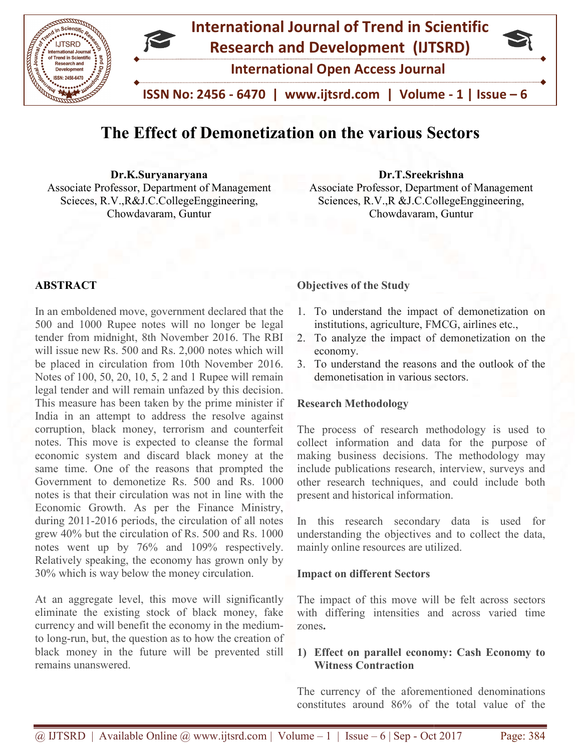

# The Effect of Demonetization on the various S Sectors

Dr.K.Suryanaryana Associate Professor, Department of Management Scieces, R.V.,R&J.C.CollegeEnggineering, Chowdavaram, Guntur Dr.K.Suryanaryana<br>Sociate Professor, Department of Management<br>Scieces, R.V.,R&J.C.CollegeEnggineering, Sciences, R.V.,R &J.C.CollegeEnggineering,

Associate Professor, Department of Management Sciences, R.V.,R &J.C.CollegeEnggineering, Chowdavaram, Guntur

# ABSTRACT

In an emboldened move, government declared that the 500 and 1000 Rupee notes will no longer be legal tender from midnight, 8th November 2016. The RBI will issue new Rs. 500 and Rs. 2,000 notes which will be placed in circulation from 10th November 2016. Notes of 100, 50, 20, 10, 5, 2 and 1 Rupee will remain legal tender and will remain unfazed by this decision. This measure has been taken by the prime minister if India in an attempt to address the resolve against corruption, black money, terrorism and counterfeit notes. This move is expected to cleanse the formal economic system and discard black money at the same time. One of the reasons that prompted the Government to demonetize Rs. 500 and Rs. 1000 notes is that their circulation was not in line with the Economic Growth. As per the Finance Ministry, during 2011-2016 periods, the circulation of all notes grew 40% but the circulation of Rs. 500 and Rs. 1000 notes went up by 76% and 109% respectively. Relatively speaking, the economy has grown only by 30% which is way below the money circulation. 500 and 1000 Rupee notes will no longer be legal<br>tender from midnight, 8th November 2016. The RBI<br>will issue new Rs. 500 and Rs. 2,000 notes which will<br>be placed in circulation from 10th November 2016.<br>Notes of 100, 50, 20 notes is that their circulation was not in line with the Economic Growth. As per the Finance Ministry, during 2011-2016 periods, the circulation of all notes grew 40% but the circulation of Rs. 500 and Rs. 1000 notes went **ACT CONT CONT**<br> **CONT**<br> **CONTEXT CONTEXT CONTEXT CONTEXT CONTEXT CONTEXT CONTEXT CONTEXT CONTEXT CONTEXT CONTEXT CONTEXT CONTEXT CONTEXT CONTEXT OF DEVITY OF THE REFIRENT CONTEXT CONTEXT CONTEXT CONTEXT CONTEXT CONTEX** 

At an aggregate level, this move will significantly eliminate the existing stock of black money, fake currency and will benefit the economy in the to long-run, but, the question as to how the creation of black money in the future will be prevented still remains unanswered. Relatively speaking, the economy has grown only by 30% which is way below the money circulation.<br>At an aggregate level, this move will significantly eliminate the existing stock of black money, fake currency and will benef

- 1. To understand the impact of demonetization on institutions, agriculture, FMCG, airlines etc.,
- 2. To analyze the impact of demonetization on the economy.
- 3. To understand the reasons and the outlook of the demonetisation in various sectors.

#### Research Methodology

The process of research methodology is used to collect information and data for the purpose of making business decisions. The methodology may include publications research, interview, surveys and other research techniques, and could include both present and historical information. Sesociate Professor, Department of Management<br>Sciences, R.V.,R &J.C.CollegeEnggineering,<br>Chowdavaram, Guntur<br>To understand the impact of demonetization on<br>the comomy.<br>To analyze the impact of demonetization on the<br>conomy.<br>

In this research secondary data is used for understanding the objectives and to collect the data, mainly online resources are utilized.

#### Impact on different Sectors

The impact of this move will be felt across sectors with differing intensities and across varied time zones.

# 1) Effect on parallel economy: Cash Economy to Witness Contraction

The currency of the aforementioned denominations constitutes around 86% of the total value of the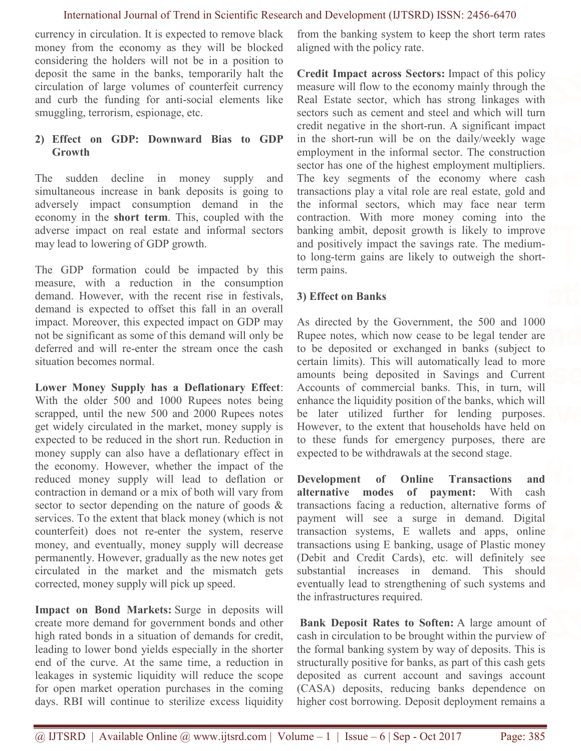#### International Journal of Trend in Scientific Research and Development (IJTSRD) ISSN: 2456-6470

currency in circulation. It is expected to remove black money from the economy as they will be blocked considering the holders will not be in a position to deposit the same in the banks, temporarily halt the circulation of large volumes of counterfeit currency and curb the funding for anti-social elements like smuggling, terrorism, espionage, etc.

# 2) Effect on GDP: Downward Bias to GDP **Growth**

The sudden decline in money supply and simultaneous increase in bank deposits is going to adversely impact consumption demand in the economy in the short term. This, coupled with the adverse impact on real estate and informal sectors may lead to lowering of GDP growth.

The GDP formation could be impacted by this measure, with a reduction in the consumption demand. However, with the recent rise in festivals, demand is expected to offset this fall in an overall impact. Moreover, this expected impact on GDP may not be significant as some of this demand will only be deferred and will re-enter the stream once the cash situation becomes normal.

Lower Money Supply has a Deflationary Effect: With the older 500 and 1000 Rupees notes being scrapped, until the new 500 and 2000 Rupees notes get widely circulated in the market, money supply is expected to be reduced in the short run. Reduction in money supply can also have a deflationary effect in the economy. However, whether the impact of the reduced money supply will lead to deflation or contraction in demand or a mix of both will vary from sector to sector depending on the nature of goods & services. To the extent that black money (which is not counterfeit) does not re-enter the system, reserve money, and eventually, money supply will decrease permanently. However, gradually as the new notes get circulated in the market and the mismatch gets corrected, money supply will pick up speed.

Impact on Bond Markets: Surge in deposits will create more demand for government bonds and other high rated bonds in a situation of demands for credit, leading to lower bond yields especially in the shorter end of the curve. At the same time, a reduction in leakages in systemic liquidity will reduce the scope for open market operation purchases in the coming days. RBI will continue to sterilize excess liquidity

from the banking system to keep the short term rates aligned with the policy rate.

Credit Impact across Sectors: Impact of this policy measure will flow to the economy mainly through the Real Estate sector, which has strong linkages with sectors such as cement and steel and which will turn credit negative in the short-run. A significant impact in the short-run will be on the daily/weekly wage employment in the informal sector. The construction sector has one of the highest employment multipliers. The key segments of the economy where cash transactions play a vital role are real estate, gold and the informal sectors, which may face near term contraction. With more money coming into the banking ambit, deposit growth is likely to improve and positively impact the savings rate. The mediumto long-term gains are likely to outweigh the shortterm pains.

# 3) Effect on Banks

As directed by the Government, the 500 and 1000 Rupee notes, which now cease to be legal tender are to be deposited or exchanged in banks (subject to certain limits). This will automatically lead to more amounts being deposited in Savings and Current Accounts of commercial banks. This, in turn, will enhance the liquidity position of the banks, which will be later utilized further for lending purposes. However, to the extent that households have held on to these funds for emergency purposes, there are expected to be withdrawals at the second stage.

Development of Online Transactions and alternative modes of payment: With cash transactions facing a reduction, alternative forms of payment will see a surge in demand. Digital transaction systems, E wallets and apps, online transactions using E banking, usage of Plastic money (Debit and Credit Cards), etc. will definitely see substantial increases in demand. This should eventually lead to strengthening of such systems and the infrastructures required.

 Bank Deposit Rates to Soften: A large amount of cash in circulation to be brought within the purview of the formal banking system by way of deposits. This is structurally positive for banks, as part of this cash gets deposited as current account and savings account (CASA) deposits, reducing banks dependence on higher cost borrowing. Deposit deployment remains a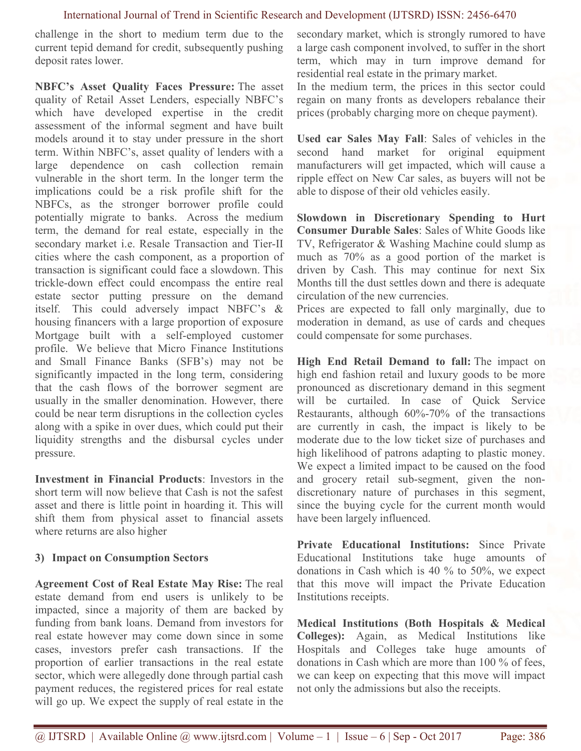### International Journal of Trend in Scientific Research and Development (IJTSRD) ISSN: 2456-6470

challenge in the short to medium term due to the current tepid demand for credit, subsequently pushing deposit rates lower.

NBFC's Asset Quality Faces Pressure: The asset quality of Retail Asset Lenders, especially NBFC's which have developed expertise in the credit assessment of the informal segment and have built models around it to stay under pressure in the short term. Within NBFC's, asset quality of lenders with a large dependence on cash collection remain vulnerable in the short term. In the longer term the implications could be a risk profile shift for the NBFCs, as the stronger borrower profile could potentially migrate to banks. Across the medium term, the demand for real estate, especially in the secondary market i.e. Resale Transaction and Tier-II cities where the cash component, as a proportion of transaction is significant could face a slowdown. This trickle-down effect could encompass the entire real estate sector putting pressure on the demand itself. This could adversely impact NBFC's & housing financers with a large proportion of exposure Mortgage built with a self-employed customer profile. We believe that Micro Finance Institutions and Small Finance Banks (SFB's) may not be significantly impacted in the long term, considering that the cash flows of the borrower segment are usually in the smaller denomination. However, there could be near term disruptions in the collection cycles along with a spike in over dues, which could put their liquidity strengths and the disbursal cycles under pressure.

Investment in Financial Products: Investors in the short term will now believe that Cash is not the safest asset and there is little point in hoarding it. This will shift them from physical asset to financial assets where returns are also higher

# 3) Impact on Consumption Sectors

Agreement Cost of Real Estate May Rise: The real estate demand from end users is unlikely to be impacted, since a majority of them are backed by funding from bank loans. Demand from investors for real estate however may come down since in some cases, investors prefer cash transactions. If the proportion of earlier transactions in the real estate sector, which were allegedly done through partial cash payment reduces, the registered prices for real estate will go up. We expect the supply of real estate in the secondary market, which is strongly rumored to have a large cash component involved, to suffer in the short term, which may in turn improve demand for residential real estate in the primary market.

In the medium term, the prices in this sector could regain on many fronts as developers rebalance their prices (probably charging more on cheque payment).

Used car Sales May Fall: Sales of vehicles in the second hand market for original equipment manufacturers will get impacted, which will cause a ripple effect on New Car sales, as buyers will not be able to dispose of their old vehicles easily.

Slowdown in Discretionary Spending to Hurt Consumer Durable Sales: Sales of White Goods like TV, Refrigerator & Washing Machine could slump as much as 70% as a good portion of the market is driven by Cash. This may continue for next Six Months till the dust settles down and there is adequate circulation of the new currencies.

Prices are expected to fall only marginally, due to moderation in demand, as use of cards and cheques could compensate for some purchases.

High End Retail Demand to fall: The impact on high end fashion retail and luxury goods to be more pronounced as discretionary demand in this segment will be curtailed. In case of Quick Service Restaurants, although 60%-70% of the transactions are currently in cash, the impact is likely to be moderate due to the low ticket size of purchases and high likelihood of patrons adapting to plastic money. We expect a limited impact to be caused on the food and grocery retail sub-segment, given the nondiscretionary nature of purchases in this segment, since the buying cycle for the current month would have been largely influenced.

Private Educational Institutions: Since Private Educational Institutions take huge amounts of donations in Cash which is 40 % to 50%, we expect that this move will impact the Private Education Institutions receipts.

Medical Institutions (Both Hospitals & Medical Colleges): Again, as Medical Institutions like Hospitals and Colleges take huge amounts of donations in Cash which are more than 100 % of fees, we can keep on expecting that this move will impact not only the admissions but also the receipts.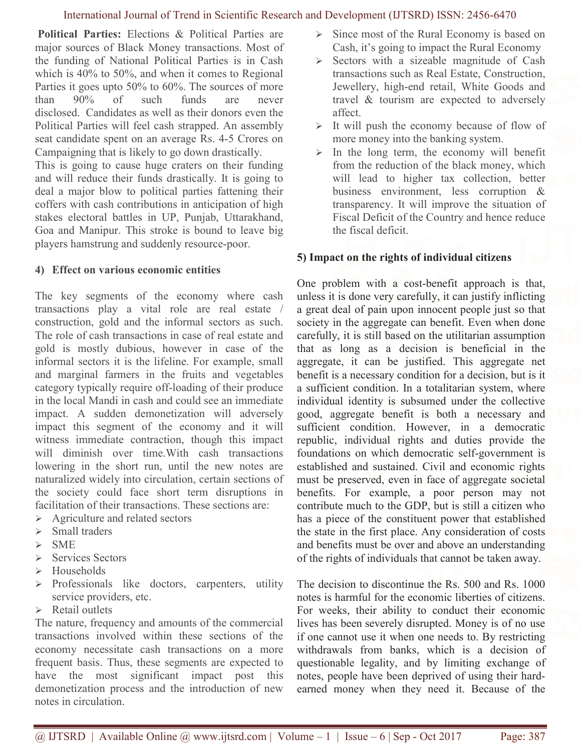#### International Journal of Trend in Scientific Research and Development (IJTSRD) ISSN: 2456-6470

 Political Parties: Elections & Political Parties are major sources of Black Money transactions. Most of the funding of National Political Parties is in Cash which is 40% to 50%, and when it comes to Regional Parties it goes upto 50% to 60%. The sources of more than 90% of such funds are never disclosed. Candidates as well as their donors even the Political Parties will feel cash strapped. An assembly seat candidate spent on an average Rs. 4-5 Crores on Campaigning that is likely to go down drastically.

This is going to cause huge craters on their funding and will reduce their funds drastically. It is going to deal a major blow to political parties fattening their coffers with cash contributions in anticipation of high stakes electoral battles in UP, Punjab, Uttarakhand, Goa and Manipur. This stroke is bound to leave big players hamstrung and suddenly resource-poor.

#### 4) Effect on various economic entities

The key segments of the economy where cash transactions play a vital role are real estate / construction, gold and the informal sectors as such. The role of cash transactions in case of real estate and gold is mostly dubious, however in case of the informal sectors it is the lifeline. For example, small and marginal farmers in the fruits and vegetables category typically require off-loading of their produce in the local Mandi in cash and could see an immediate impact. A sudden demonetization will adversely impact this segment of the economy and it will witness immediate contraction, though this impact will diminish over time.With cash transactions lowering in the short run, until the new notes are naturalized widely into circulation, certain sections of the society could face short term disruptions in facilitation of their transactions. These sections are:

- $\triangleright$  Agriculture and related sectors
- $\triangleright$  Small traders
- $\triangleright$  SME
- $\triangleright$  Services Sectors
- $\triangleright$  Households
- $\triangleright$  Professionals like doctors, carpenters, utility service providers, etc.
- $\triangleright$  Retail outlets

The nature, frequency and amounts of the commercial transactions involved within these sections of the economy necessitate cash transactions on a more frequent basis. Thus, these segments are expected to have the most significant impact post this demonetization process and the introduction of new notes in circulation.

- $\triangleright$  Since most of the Rural Economy is based on Cash, it's going to impact the Rural Economy
- $\triangleright$  Sectors with a sizeable magnitude of Cash transactions such as Real Estate, Construction, Jewellery, high-end retail, White Goods and travel & tourism are expected to adversely affect.
- $\triangleright$  It will push the economy because of flow of more money into the banking system.
- $\triangleright$  In the long term, the economy will benefit from the reduction of the black money, which will lead to higher tax collection, better business environment, less corruption & transparency. It will improve the situation of Fiscal Deficit of the Country and hence reduce the fiscal deficit.

# 5) Impact on the rights of individual citizens

One problem with a cost-benefit approach is that, unless it is done very carefully, it can justify inflicting a great deal of pain upon innocent people just so that society in the aggregate can benefit. Even when done carefully, it is still based on the utilitarian assumption that as long as a decision is beneficial in the aggregate, it can be justified. This aggregate net benefit is a necessary condition for a decision, but is it a sufficient condition. In a totalitarian system, where individual identity is subsumed under the collective good, aggregate benefit is both a necessary and sufficient condition. However, in a democratic republic, individual rights and duties provide the foundations on which democratic self-government is established and sustained. Civil and economic rights must be preserved, even in face of aggregate societal benefits. For example, a poor person may not contribute much to the GDP, but is still a citizen who has a piece of the constituent power that established the state in the first place. Any consideration of costs and benefits must be over and above an understanding of the rights of individuals that cannot be taken away.

The decision to discontinue the Rs. 500 and Rs. 1000 notes is harmful for the economic liberties of citizens. For weeks, their ability to conduct their economic lives has been severely disrupted. Money is of no use if one cannot use it when one needs to. By restricting withdrawals from banks, which is a decision of questionable legality, and by limiting exchange of notes, people have been deprived of using their hardearned money when they need it. Because of the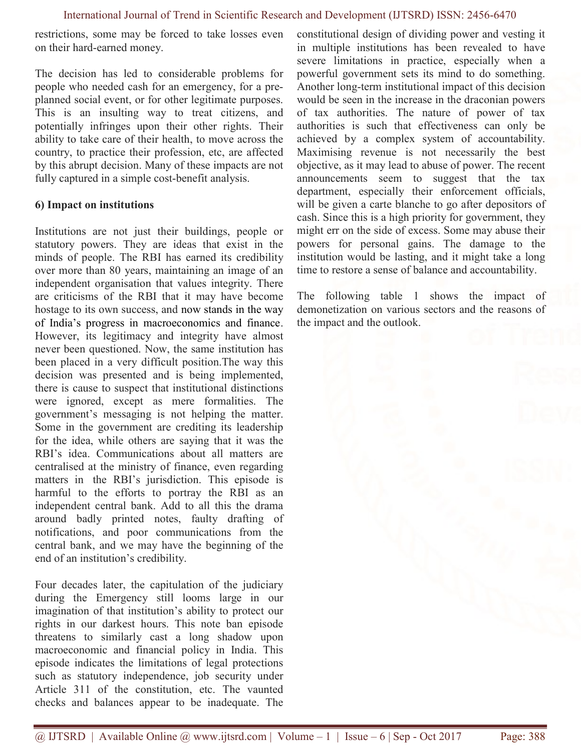restrictions, some may be forced to take losses even on their hard-earned money.

The decision has led to considerable problems for people who needed cash for an emergency, for a preplanned social event, or for other legitimate purposes. This is an insulting way to treat citizens, and potentially infringes upon their other rights. Their ability to take care of their health, to move across the country, to practice their profession, etc, are affected by this abrupt decision. Many of these impacts are not fully captured in a simple cost-benefit analysis.

# 6) Impact on institutions

Institutions are not just their buildings, people or statutory powers. They are ideas that exist in the minds of people. The RBI has earned its credibility over more than 80 years, maintaining an image of an independent organisation that values integrity. There are criticisms of the RBI that it may have become hostage to its own success, and now stands in the way of India's progress in macroeconomics and finance. However, its legitimacy and integrity have almost never been questioned. Now, the same institution has been placed in a very difficult position.The way this decision was presented and is being implemented, there is cause to suspect that institutional distinctions were ignored, except as mere formalities. The government's messaging is not helping the matter. Some in the government are crediting its leadership for the idea, while others are saying that it was the RBI's idea. Communications about all matters are centralised at the ministry of finance, even regarding matters in the RBI's jurisdiction. This episode is harmful to the efforts to portray the RBI as an independent central bank. Add to all this the drama around badly printed notes, faulty drafting of notifications, and poor communications from the central bank, and we may have the beginning of the end of an institution's credibility.

Four decades later, the capitulation of the judiciary during the Emergency still looms large in our imagination of that institution's ability to protect our rights in our darkest hours. This note ban episode threatens to similarly cast a long shadow upon macroeconomic and financial policy in India. This episode indicates the limitations of legal protections such as statutory independence, job security under Article 311 of the constitution, etc. The vaunted checks and balances appear to be inadequate. The constitutional design of dividing power and vesting it in multiple institutions has been revealed to have severe limitations in practice, especially when a powerful government sets its mind to do something. Another long-term institutional impact of this decision would be seen in the increase in the draconian powers of tax authorities. The nature of power of tax authorities is such that effectiveness can only be achieved by a complex system of accountability. Maximising revenue is not necessarily the best objective, as it may lead to abuse of power. The recent announcements seem to suggest that the tax department, especially their enforcement officials, will be given a carte blanche to go after depositors of cash. Since this is a high priority for government, they might err on the side of excess. Some may abuse their powers for personal gains. The damage to the institution would be lasting, and it might take a long time to restore a sense of balance and accountability.

The following table 1 shows the impact of demonetization on various sectors and the reasons of the impact and the outlook.

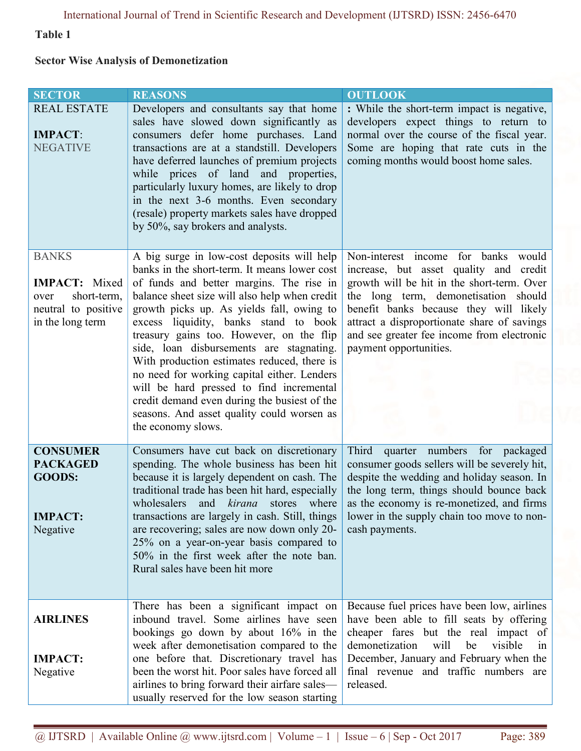# Table 1

# Sector Wise Analysis of Demonetization

| <b>SECTOR</b>                                                                                          | <b>REASONS</b>                                                                                                                                                                                                                                                                                                                                                                                                                                                                                                                                                                                                                      | <b>OUTLOOK</b>                                                                                                                                                                                                                                                                                                                          |
|--------------------------------------------------------------------------------------------------------|-------------------------------------------------------------------------------------------------------------------------------------------------------------------------------------------------------------------------------------------------------------------------------------------------------------------------------------------------------------------------------------------------------------------------------------------------------------------------------------------------------------------------------------------------------------------------------------------------------------------------------------|-----------------------------------------------------------------------------------------------------------------------------------------------------------------------------------------------------------------------------------------------------------------------------------------------------------------------------------------|
| <b>REAL ESTATE</b><br><b>IMPACT:</b><br><b>NEGATIVE</b>                                                | Developers and consultants say that home<br>sales have slowed down significantly as<br>consumers defer home purchases. Land<br>transactions are at a standstill. Developers<br>have deferred launches of premium projects<br>while prices of land and properties,<br>particularly luxury homes, are likely to drop<br>in the next 3-6 months. Even secondary<br>(resale) property markets sales have dropped<br>by 50%, say brokers and analysts.                                                                                                                                                                                   | : While the short-term impact is negative,<br>developers expect things to return to<br>normal over the course of the fiscal year.<br>Some are hoping that rate cuts in the<br>coming months would boost home sales.                                                                                                                     |
| <b>BANKS</b><br><b>IMPACT:</b> Mixed<br>short-term,<br>over<br>neutral to positive<br>in the long term | A big surge in low-cost deposits will help<br>banks in the short-term. It means lower cost<br>of funds and better margins. The rise in<br>balance sheet size will also help when credit<br>growth picks up. As yields fall, owing to<br>excess liquidity, banks stand to book<br>treasury gains too. However, on the flip<br>side, loan disbursements are stagnating.<br>With production estimates reduced, there is<br>no need for working capital either. Lenders<br>will be hard pressed to find incremental<br>credit demand even during the busiest of the<br>seasons. And asset quality could worsen as<br>the economy slows. | Non-interest income for banks<br>would<br>increase, but asset quality and credit<br>growth will be hit in the short-term. Over<br>the long term, demonetisation should<br>benefit banks because they will likely<br>attract a disproportionate share of savings<br>and see greater fee income from electronic<br>payment opportunities. |
| <b>CONSUMER</b><br><b>PACKAGED</b><br><b>GOODS:</b><br><b>IMPACT:</b><br>Negative                      | Consumers have cut back on discretionary<br>spending. The whole business has been hit<br>because it is largely dependent on cash. The<br>traditional trade has been hit hard, especially<br>wholesalers<br>and kirana<br>stores<br>where<br>transactions are largely in cash. Still, things<br>are recovering; sales are now down only 20-<br>25% on a year-on-year basis compared to<br>50% in the first week after the note ban.<br>Rural sales have been hit more                                                                                                                                                                | Third quarter numbers for packaged<br>consumer goods sellers will be severely hit,<br>despite the wedding and holiday season. In<br>the long term, things should bounce back<br>as the economy is re-monetized, and firms<br>lower in the supply chain too move to non-<br>cash payments.                                               |
| <b>AIRLINES</b><br><b>IMPACT:</b><br>Negative                                                          | There has been a significant impact on<br>inbound travel. Some airlines have seen<br>bookings go down by about 16% in the<br>week after demonetisation compared to the<br>one before that. Discretionary travel has<br>been the worst hit. Poor sales have forced all<br>airlines to bring forward their airfare sales—<br>usually reserved for the low season starting                                                                                                                                                                                                                                                             | Because fuel prices have been low, airlines<br>have been able to fill seats by offering<br>cheaper fares but the real impact of<br>demonetization<br>will<br>visible<br>be<br>1n<br>December, January and February when the<br>final revenue and traffic numbers are<br>released.                                                       |